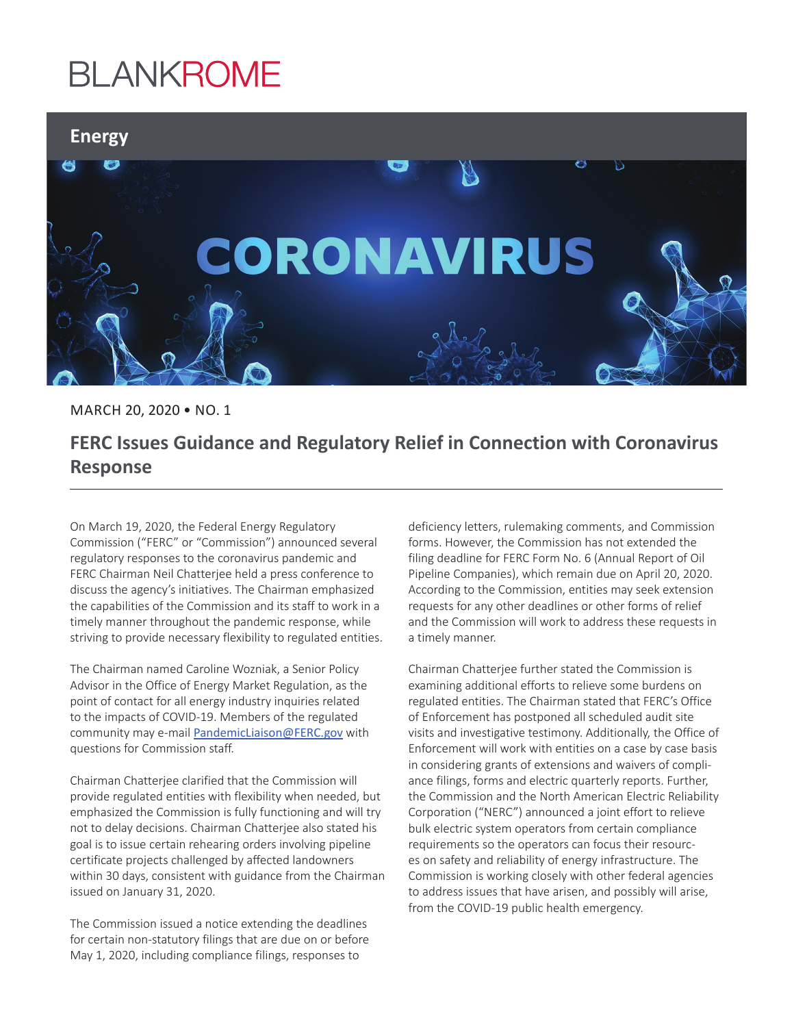## **BLANKROME**



MARCH 20, 2020 • NO. 1

## **FERC Issues Guidance and Regulatory Relief in Connection with Coronavirus Response**

On March 19, 2020, the Federal Energy Regulatory Commission ("FERC" or "Commission") announced several regulatory responses to the coronavirus pandemic and FERC Chairman Neil Chatterjee held a press conference to discuss the agency's initiatives. The Chairman emphasized the capabilities of the Commission and its staff to work in a timely manner throughout the pandemic response, while striving to provide necessary flexibility to regulated entities.

The Chairman named Caroline Wozniak, a Senior Policy Advisor in the Office of Energy Market Regulation, as the point of contact for all energy industry inquiries related to the impacts of COVID-19. Members of the regulated community may e-mail [PandemicLiaison@FERC.gov](mailto:PandemicLiaison@FERC.gov) with questions for Commission staff.

Chairman Chatterjee clarified that the Commission will provide regulated entities with flexibility when needed, but emphasized the Commission is fully functioning and will try not to delay decisions. Chairman Chatterjee also stated his goal is to issue certain rehearing orders involving pipeline certificate projects challenged by affected landowners within 30 days, consistent with guidance from the Chairman issued on January 31, 2020.

The Commission issued a notice extending the deadlines for certain non-statutory filings that are due on or before May 1, 2020, including compliance filings, responses to

deficiency letters, rulemaking comments, and Commission forms. However, the Commission has not extended the filing deadline for FERC Form No. 6 (Annual Report of Oil Pipeline Companies), which remain due on April 20, 2020. According to the Commission, entities may seek extension requests for any other deadlines or other forms of relief and the Commission will work to address these requests in a timely manner.

Chairman Chatterjee further stated the Commission is examining additional efforts to relieve some burdens on regulated entities. The Chairman stated that FERC's Office of Enforcement has postponed all scheduled audit site visits and investigative testimony. Additionally, the Office of Enforcement will work with entities on a case by case basis in considering grants of extensions and waivers of compliance filings, forms and electric quarterly reports. Further, the Commission and the North American Electric Reliability Corporation ("NERC") announced a joint effort to relieve bulk electric system operators from certain compliance requirements so the operators can focus their resources on safety and reliability of energy infrastructure. The Commission is working closely with other federal agencies to address issues that have arisen, and possibly will arise, from the COVID-19 public health emergency.